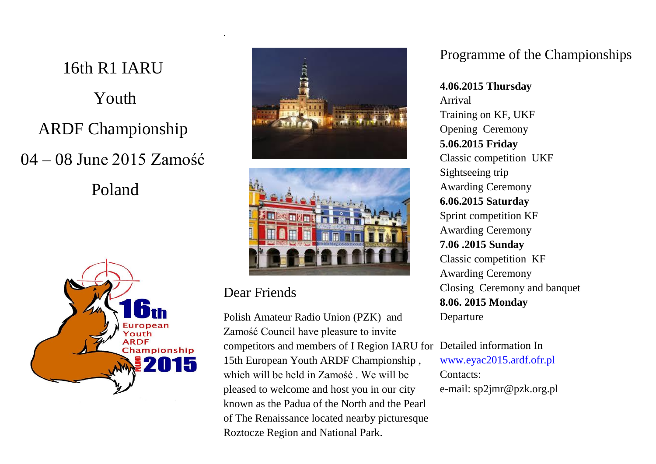16th R1 IARU Youth ARDF Championship 04 – 08 June 2015 Zamość Poland







### Dear Friends

.

Polish Amateur Radio Union (PZK) and Zamość Council have pleasure to invite competitors and members of I Region IARU for 15th European Youth ARDF Championship , which will be held in Zamość We will be pleased to welcome and host you in our city known as the Padua of the North and the Pearl of The Renaissance located nearby picturesque Roztocze Region and National Park.

## Programme of the Championships

**4.06.2015 Thursday** Arrival Training on KF, UKF Opening Ceremony **5.06.2015 Friday** Classic competition UKF Sightseeing trip Awarding Ceremony **6.06.2015 Saturday** Sprint competition KF Awarding Ceremony **7.06 .2015 Sunday** Classic competition KF Awarding Ceremony Closing Ceremony and banquet **8.06. 2015 Monday** Departure

Detailed information In [www.eyac2015.ardf.ofr.pl](http://www.eyac2015.ardf.ofr.pl/) Contacts: e-mail: sp2jmr@pzk.org.pl